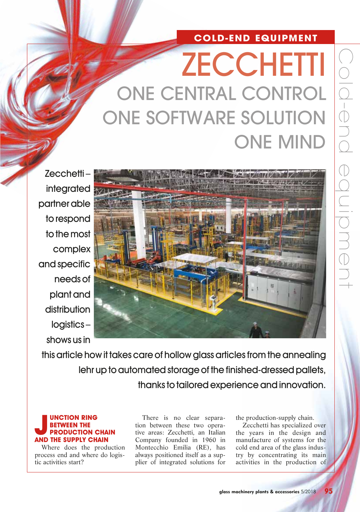## **COLD-END EQUIPMENT**

# **ZECCHETTI** ONE CENTRAL CONTROL ONE SOFTWARE SOLUTION ONE MIND

Zecchetti – integrated partner able to respond to the most complex and specific needs of plant and distribution logistics – shows us in



this article how it takes care of hollow glass articles from the annealing lehr up to automated storage of the finished-dressed pallets, thanks to tailored experience and innovation.

## **JUNCTION RING<br>
BETWEEN THE<br>
AND THE SUPPLY CHAIN WEEN THE PRODUCTION CHAIN**

Where does the production process end and where do logistic activities start?

There is no clear separation between these two operative areas: Zecchetti, an Italian Company founded in 1960 in Montecchio Emilia (RE), has always positioned itself as a supplier of integrated solutions for

the production-supply chain.

Zecchetti has specialized over the years in the design and manufacture of systems for the cold end area of the glass industry by concentrating its main activities in the production of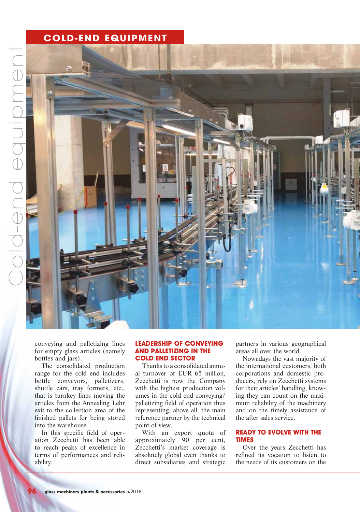## **COLD-END EQUIPMENT**



conveying and palletizing lines for empty glass articles (namely bottles and jars).

The consolidated production range for the cold end includes bottle conveyors, palletizers, shuttle cars, tray formers, etc.. that is turnkey lines moving the articles from the Annealing Lehr exit to the collection area of the finished pallets for being stored into the warehouse.

In this specific field of operation Zecchetti has been able to reach peaks of excellence in terms of performances and reliability.

#### **LEADERSHIP OF CONVEYING AND PALLETIZING IN THE COLD END SECTOR**

Thanks to a consolidated annual turnover of EUR 65 million, Zecchetti is now the Company with the highest production volumes in the cold end conveying/ palletizing field of operation thus representing, above all, the main reference partner by the technical point of view.

With an export quota of approximately 90 per cent, Zecchetti's market coverage is absolutely global even thanks to direct subsidiaries and strategic partners in various geographical areas all over the world.

Nowadays the vast majority of the international customers, both corporations and domestic producers, rely on Zecchetti systems for their articles' handling, knowing they can count on the maximum reliability of the machinery and on the timely assistance of the after sales service.

#### **READY TO EVOLVE WITH THE TIMES**

Over the years Zecchetti has refined its vocation to listen to the needs of its customers on the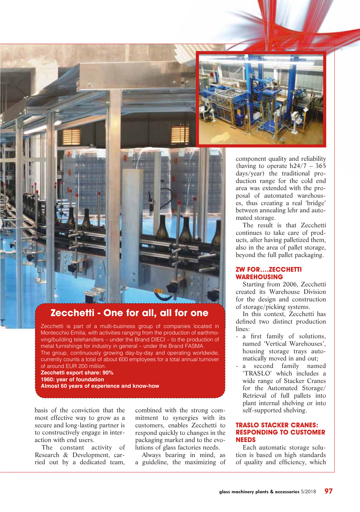



## **Zecchetti - One for all, all for one**

Zecchetti is part of a multi-business group of companies located in Montecchio Emilia, with activities ranging from the production of earthmoving/building telehandlers – under the Brand DIECI – to the production of metal furnishings for industry in general – under the Brand FASMA. The group, continuously growing day-by-day and operating worldwide, currently counts a total of about 600 employees for a total annual turnover of around EUR 200 million.

**Zecchetti export share: 90% 1960: year of foundation Almost 60 years of experience and know-how**

basis of the conviction that the most effective way to grow as a secure and long-lasting partner is to constructively engage in interaction with end users.

The constant activity of Research & Development, carried out by a dedicated team,

combined with the strong commitment to synergies with its customers, enables Zecchetti to respond quickly to changes in the packaging market and to the evolutions of glass factories needs.

Always bearing in mind, as a guideline, the maximizing of component quality and reliability (having to operate  $h24/7 - 365$ days/year) the traditional production range for the cold end area was extended with the proposal of automated warehouses, thus creating a real 'bridge' between annealing lehr and automated storage.

The result is that Zecchetti continues to take care of products, after having palletized them, also in the area of pallet storage, beyond the full pallet packaging.

#### **ZW FOR….ZECCHETTI WAREHOUSING**

Starting from 2006, Zecchetti created its Warehouse Division for the design and construction of storage/picking systems.

In this context, Zecchetti has defined two distinct production lines:

- a first family of solutions, named 'Vertical Warehouses', housing storage trays automatically moved in and out;
- a second family named 'TRASLO' which includes a wide range of Stacker Cranes for the Automated Storage/ Retrieval of full pallets into plant internal shelving or into self-supported shelving.

#### **TRASLO STACKER CRANES: RESPONDING TO CUSTOMER NEEDS**

Each automatic storage solution is based on high standards of quality and efficiency, which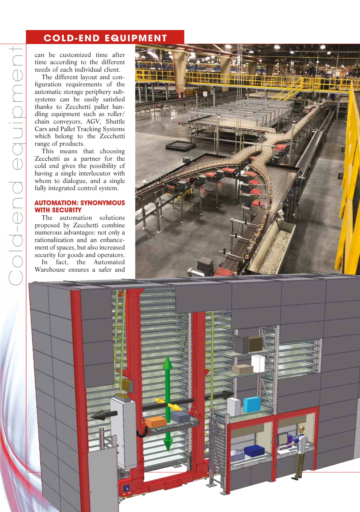## **COLD-END EQUIPMENT**

can be customized time after time according to the different needs of each individual client.

The different layout and configuration requirements of the automatic storage periphery subsystems can be easily satisfied thanks to Zecchetti pallet handling equipment such as roller/ chain conveyors, AGV, Shuttle Cars and Pallet Tracking Systems which belong to the Zecchetti range of products.

This means that choosing Zecchetti as a partner for the cold end gives the possibility of having a single interlocutor with whom to dialogue, and a single fully integrated control system.

#### **AUTOMATION: SYNONYMOUS WITH SECURITY**

The automation solutions proposed by Zecchetti combine numerous advantages: not only a rationalization and an enhancement of spaces, but also increased security for goods and operators.

In fact, the Automated Warehouse ensures a safer and